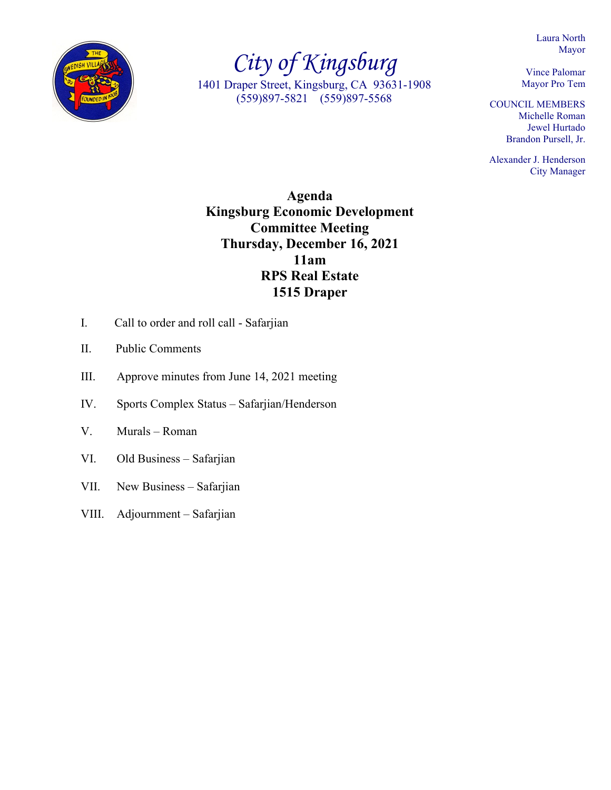Laura North Mayor



*City of Kingsburg* 1401 Draper Street, Kingsburg, CA 93631-1908 (559)897-5821 (559)897-5568

Vince Palomar Mayor Pro Tem

COUNCIL MEMBERS Michelle Roman Jewel Hurtado Brandon Pursell, Jr.

Alexander J. Henderson City Manager

**Agenda Kingsburg Economic Development Committee Meeting Thursday, December 16, 2021 11am RPS Real Estate 1515 Draper**

- I. Call to order and roll call Safarjian
- II. Public Comments
- III. Approve minutes from June 14, 2021 meeting
- IV. Sports Complex Status Safarjian/Henderson
- V. Murals Roman
- VI. Old Business Safarjian
- VII. New Business Safarjian
- VIII. Adjournment Safarjian